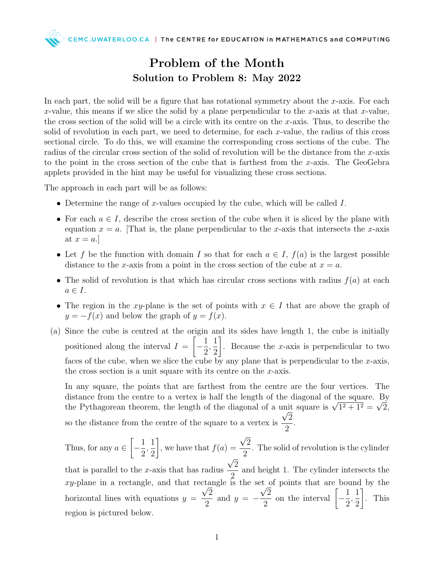CEMC.UWATERLOO.CA | The CENTRE for EDUCATION in MATHEMATICS and COMPUTING

## Problem of the Month Solution to Problem 8: May 2022

In each part, the solid will be a figure that has rotational symmetry about the  $x$ -axis. For each x-value, this means if we slice the solid by a plane perpendicular to the x-axis at that x-value, the cross section of the solid will be a circle with its centre on the x-axis. Thus, to describe the solid of revolution in each part, we need to determine, for each x-value, the radius of this cross sectional circle. To do this, we will examine the corresponding cross sections of the cube. The radius of the circular cross section of the solid of revolution will be the distance from the x-axis to the point in the cross section of the cube that is farthest from the x-axis. The GeoGebra applets provided in the hint may be useful for visualizing these cross sections.

The approach in each part will be as follows:

- Determine the range of x-values occupied by the cube, which will be called  $I$ .
- For each  $a \in I$ , describe the cross section of the cube when it is sliced by the plane with equation  $x = a$ . That is, the plane perpendicular to the x-axis that intersects the x-axis at  $x = a$ .
- Let f be the function with domain I so that for each  $a \in I$ ,  $f(a)$  is the largest possible distance to the x-axis from a point in the cross section of the cube at  $x = a$ .
- The solid of revolution is that which has circular cross sections with radius  $f(a)$  at each  $a \in I$ .
- The region in the xy-plane is the set of points with  $x \in I$  that are above the graph of  $y = -f(x)$  and below the graph of  $y = f(x)$ .
- (a) Since the cube is centred at the origin and its sides have length 1, the cube is initially positioned along the interval  $I =$  $\lceil$  $-\frac{1}{2}$ 2 , 1 2 1 . Because the x-axis is perpendicular to two faces of the cube, when we slice the cube by any plane that is perpendicular to the x-axis, the cross section is a unit square with its centre on the  $x$ -axis.

In any square, the points that are farthest from the centre are the four vertices. The distance from the centre to a vertex is half the length of the diagonal of the square. By distance from the centre to a vertex is naif the length of the diagonal of the square is  $\sqrt{1^2 + 1^2} = \sqrt{2}$ , the Pythagorean theorem, the length of the diagonal of a unit square is  $\sqrt{1^2 + 1^2} = \sqrt{2}$ , so the distance from the centre of the square to a vertex is 2 2 .

Thus, for any  $a \in$  $\lceil$  $-\frac{1}{2}$ 2 , 1 2 1 , we have that  $f(a) =$ √ 2 2 . The solid of revolution is the cylinder that is parallel to the  $x$ -axis that has radius √ 2 2 and height 1. The cylinder intersects the

xy-plane in a rectangle, and that rectangle is the set of points that are bound by the horizontal lines with equations  $y =$ 2 2 and  $y = -\frac{\sqrt{2}}{2}$ 2 on the interval  $\left[-\frac{1}{2}\right]$ 2 , 1 2 1 . This region is pictured below.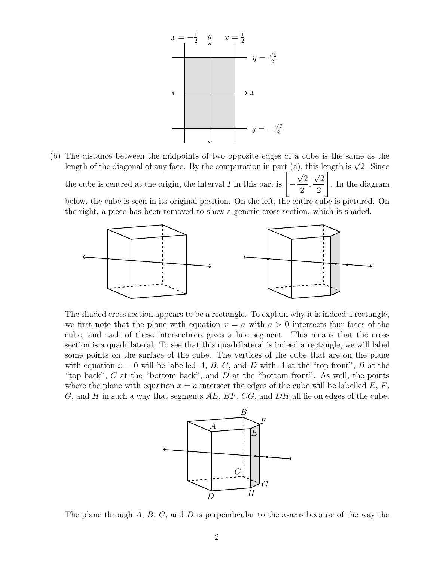

(b) The distance between the midpoints of two opposite edges of a cube is the same as the The distance between the midpoints of two opposite edges of a cube is the same as the length of the diagonal of any face. By the computation in part  $(a)$ , this length is  $\sqrt{2}$ . Since the cube is centred at the origin, the interval  $I$  in this part is  $\Big[-\Big]$ √ 2 2 , µ 2 2 1 . In the diagram below, the cube is seen in its original position. On the left, the entire cube is pictured. On the right, a piece has been removed to show a generic cross section, which is shaded.



The shaded cross section appears to be a rectangle. To explain why it is indeed a rectangle, we first note that the plane with equation  $x = a$  with  $a > 0$  intersects four faces of the cube, and each of these intersections gives a line segment. This means that the cross section is a quadrilateral. To see that this quadrilateral is indeed a rectangle, we will label some points on the surface of the cube. The vertices of the cube that are on the plane with equation  $x = 0$  will be labelled A, B, C, and D with A at the "top front", B at the "top back",  $C$  at the "bottom back", and  $D$  at the "bottom front". As well, the points where the plane with equation  $x = a$  intersect the edges of the cube will be labelled E, F,  $G$ , and  $H$  in such a way that segments  $AE$ ,  $BF$ ,  $CG$ , and  $DH$  all lie on edges of the cube.



The plane through  $A, B, C$ , and  $D$  is perpendicular to the x-axis because of the way the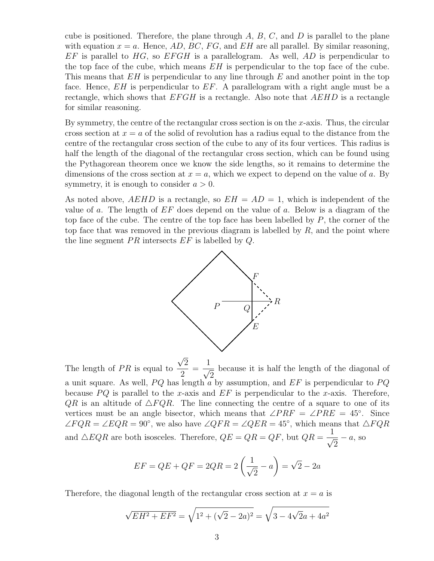cube is positioned. Therefore, the plane through  $A, B, C$ , and  $D$  is parallel to the plane with equation  $x = a$ . Hence, AD, BC, FG, and EH are all parallel. By similar reasoning,  $EF$  is parallel to HG, so  $EFGH$  is a parallelogram. As well, AD is perpendicular to the top face of the cube, which means  $EH$  is perpendicular to the top face of the cube. This means that  $EH$  is perpendicular to any line through E and another point in the top face. Hence,  $EH$  is perpendicular to  $EF$ . A parallelogram with a right angle must be a rectangle, which shows that  $EFGH$  is a rectangle. Also note that  $AEHD$  is a rectangle for similar reasoning.

By symmetry, the centre of the rectangular cross section is on the x-axis. Thus, the circular cross section at  $x = a$  of the solid of revolution has a radius equal to the distance from the centre of the rectangular cross section of the cube to any of its four vertices. This radius is half the length of the diagonal of the rectangular cross section, which can be found using the Pythagorean theorem once we know the side lengths, so it remains to determine the dimensions of the cross section at  $x = a$ , which we expect to depend on the value of a. By symmetry, it is enough to consider  $a > 0$ .

As noted above,  $AEHD$  is a rectangle, so  $EH = AD = 1$ , which is independent of the value of a. The length of  $EF$  does depend on the value of a. Below is a diagram of the top face of the cube. The centre of the top face has been labelled by  $P$ , the corner of the top face that was removed in the previous diagram is labelled by  $R$ , and the point where the line segment  $PR$  intersects  $EF$  is labelled by  $Q$ .



The length of  $PR$  is equal to 2 2 =  $\frac{1}{\sqrt{2}}$ 2 because it is half the length of the diagonal of a unit square. As well,  $PQ$  has length a by assumption, and  $EF$  is perpendicular to  $PQ$ because  $PQ$  is parallel to the x-axis and  $EF$  is perpendicular to the x-axis. Therefore,  $QR$  is an altitude of  $\triangle FQR$ . The line connecting the centre of a square to one of its vertices must be an angle bisector, which means that  $\angle PRF = \angle PRE = 45^{\circ}$ . Since  $\angle FQR = \angle EQR = 90^{\circ}$ , we also have  $\angle QFR = \angle QER = 45^{\circ}$ , which means that  $\triangle FQR$ and  $\triangle EQR$  are both isosceles. Therefore,  $QE = QR = QF$ , but  $QR = \frac{1}{\triangle EQR}$ 2  $-a$ , so

$$
EF = QE + QF = 2QR = 2\left(\frac{1}{\sqrt{2}} - a\right) = \sqrt{2} - 2a
$$

Therefore, the diagonal length of the rectangular cross section at  $x = a$  is

$$
\sqrt{EH^2 + EF^2} = \sqrt{1^2 + (\sqrt{2} - 2a)^2} = \sqrt{3 - 4\sqrt{2}a + 4a^2}
$$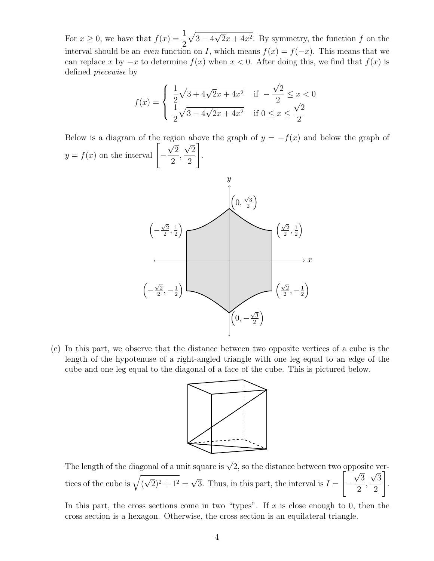For  $x \geq 0$ , we have that  $f(x) = \frac{1}{2}$ 2  $\sqrt{3-4}$  $\overline{\phantom{0}}$  $2x + 4x^2$ . By symmetry, the function f on the interval should be an *even* function on I, which means  $f(x) = f(-x)$ . This means that we can replace x by  $-x$  to determine  $f(x)$  when  $x < 0$ . After doing this, we find that  $f(x)$  is defined piecewise by

$$
f(x) = \begin{cases} \frac{1}{2}\sqrt{3 + 4\sqrt{2}x + 4x^2} & \text{if } -\frac{\sqrt{2}}{2} \le x < 0\\ \frac{1}{2}\sqrt{3 - 4\sqrt{2}x + 4x^2} & \text{if } 0 \le x \le \frac{\sqrt{2}}{2} \end{cases}
$$

Below is a diagram of the region above the graph of  $y = -f(x)$  and below the graph of  $y = f(x)$  on the interval  $\left[-\frac{\sqrt{2}}{2}\right]$ 2 1



(c) In this part, we observe that the distance between two opposite vertices of a cube is the length of the hypotenuse of a right-angled triangle with one leg equal to an edge of the cube and one leg equal to the diagonal of a face of the cube. This is pictured below.



The length of the diagonal of a unit square is  $\sqrt{2}$ , so the distance between two opposite vertices of the cube is  $\sqrt{(}$ √  $(2)^2 + 1^2 =$ √ 3. Thus, in this part, the interval is  $I =$  $\sqrt{ }$ − √ 3 2 , √ 3 2 1 .

In this part, the cross sections come in two "types". If x is close enough to 0, then the cross section is a hexagon. Otherwise, the cross section is an equilateral triangle.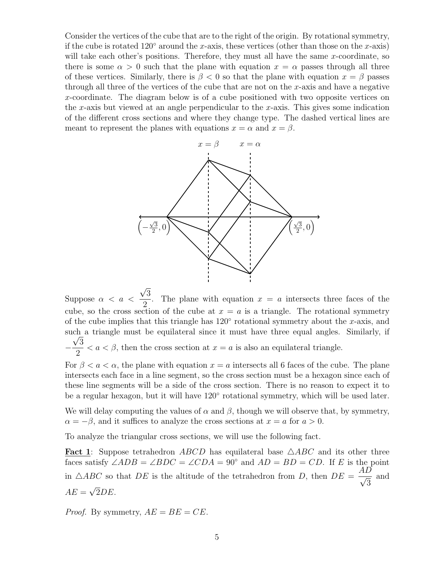Consider the vertices of the cube that are to the right of the origin. By rotational symmetry, if the cube is rotated 120 $\degree$  around the x-axis, these vertices (other than those on the x-axis) will take each other's positions. Therefore, they must all have the same  $x$ -coordinate, so there is some  $\alpha > 0$  such that the plane with equation  $x = \alpha$  passes through all three of these vertices. Similarly, there is  $\beta < 0$  so that the plane with equation  $x = \beta$  passes through all three of the vertices of the cube that are not on the  $x$ -axis and have a negative x-coordinate. The diagram below is of a cube positioned with two opposite vertices on the x-axis but viewed at an angle perpendicular to the x-axis. This gives some indication of the different cross sections and where they change type. The dashed vertical lines are meant to represent the planes with equations  $x = \alpha$  and  $x = \beta$ .



Suppose  $\alpha < a <$ 3 2 . The plane with equation  $x = a$  intersects three faces of the cube, so the cross section of the cube at  $x = a$  is a triangle. The rotational symmetry of the cube implies that this triangle has  $120^{\circ}$  rotational symmetry about the x-axis, and such a triangle must be equilateral since it must have three equal angles. Similarly, if  $-\frac{\sqrt{3}}{2}$ 2  $a < \beta$ , then the cross section at  $x = a$  is also an equilateral triangle.

For  $\beta < a < \alpha$ , the plane with equation  $x = a$  intersects all 6 faces of the cube. The plane intersects each face in a line segment, so the cross section must be a hexagon since each of these line segments will be a side of the cross section. There is no reason to expect it to be a regular hexagon, but it will have  $120^{\circ}$  rotational symmetry, which will be used later.

We will delay computing the values of  $\alpha$  and  $\beta$ , though we will observe that, by symmetry,  $\alpha = -\beta$ , and it suffices to analyze the cross sections at  $x = a$  for  $a > 0$ .

To analyze the triangular cross sections, we will use the following fact.

**Fact 1**: Suppose tetrahedron ABCD has equilateral base  $\triangle ABC$  and its other three faces satisfy  $\angle ADB = \angle BDC = \angle CDA = 90^{\circ}$  and  $AD = BD = CD$ . If E is the point in  $\triangle ABC$  so that DE is the altitude of the tetrahedron from D, then  $DE = \frac{AD}{\sqrt{2}}$ 3 and  $AE = \sqrt{2DE}.$ √

*Proof.* By symmetry,  $AE = BE = CE$ .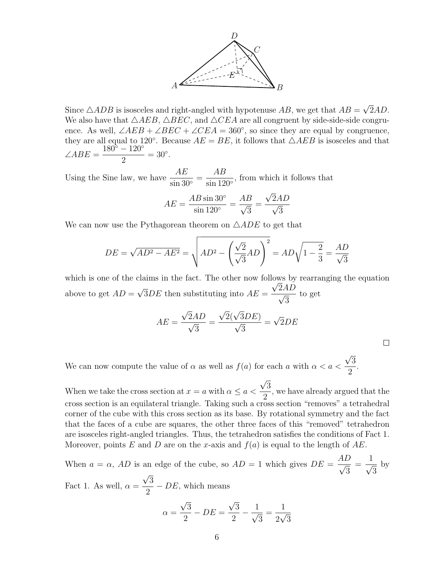

Since  $\triangle ADB$  is isosceles and right-angled with hypotenuse  $AB$ , we get that  $AB =$ √ 2AD. We also have that  $\triangle AEB$ ,  $\triangle BEC$ , and  $\triangle CEA$  are all congruent by side-side-side congruence. As well,  $\angle AEB + \angle BEC + \angle CEA = 360^{\circ}$ , so since they are equal by congruence, they are all equal to 120°. Because  $AE = BE$ , it follows that  $\triangle AEB$  is isosceles and that  $\angle ABE = \frac{180^{\circ} - 120^{\circ}}{\circ}$ 2  $= 30^\circ.$ 

Using the Sine law, we have  $\frac{AE}{\cdot}$  $\frac{1}{\sin 30^{\circ}} =$ AB  $\frac{120}{\sin 120^{\circ}}$ , from which it follows that

$$
AE = \frac{AB \sin 30^{\circ}}{\sin 120^{\circ}} = \frac{AB}{\sqrt{3}} = \frac{\sqrt{2}AD}{\sqrt{3}}
$$

We can now use the Pythagorean theorem on  $\triangle ADE$  to get that

$$
DE = \sqrt{AD^2 - AE^2} = \sqrt{AD^2 - \left(\frac{\sqrt{2}}{\sqrt{3}}AD\right)^2} = AD\sqrt{1 - \frac{2}{3}} = \frac{AD}{\sqrt{3}}
$$

which is one of the claims in the fact. The other now follows by rearranging the equation above to get  $AD =$ √  $3DE$  then substituting into  $AE =$  $\frac{2AD}{\sqrt{2}}$ 3 to get

$$
AE = \frac{\sqrt{2}AD}{\sqrt{3}} = \frac{\sqrt{2}(\sqrt{3}DE)}{\sqrt{3}} = \sqrt{2}DE
$$

 $\Box$ 

We can now compute the value of  $\alpha$  as well as  $f(a)$  for each a with  $\alpha < a <$ √ 3 2 .

When we take the cross section at  $x = a$  with  $\alpha \le a$ √ 3 2 , we have already argued that the cross section is an equilateral triangle. Taking such a cross section "removes" a tetrahedral corner of the cube with this cross section as its base. By rotational symmetry and the fact that the faces of a cube are squares, the other three faces of this "removed" tetrahedron are isosceles right-angled triangles. Thus, the tetrahedron satisfies the conditions of Fact 1. Moreover, points E and D are on the x-axis and  $f(a)$  is equal to the length of AE.

When  $a = \alpha$ , AD is an edge of the cube, so  $AD = 1$  which gives  $DE =$  $\frac{AD}{C}$ 3 =  $\frac{1}{\sqrt{2}}$ 3 by Fact 1. As well,  $\alpha =$ √ 3 2  $– DE$ , which means √ √

$$
\alpha = \frac{\sqrt{3}}{2} - DE = \frac{\sqrt{3}}{2} - \frac{1}{\sqrt{3}} = \frac{1}{2\sqrt{3}}
$$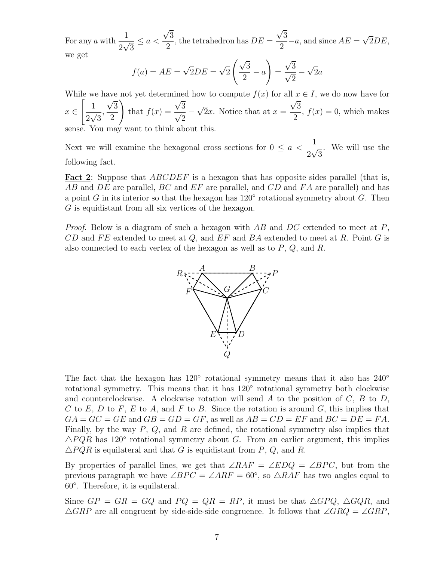For any a with  $\frac{1}{2}$ 2  $\frac{1}{\sqrt{2}}$ 3  $\leq a <$ √ 3 2 , the tetrahedron has  $DE =$ √ 3 2  $-a$ , and since  $AE =$ √  $2DE,$ we get √

$$
f(a) = AE = \sqrt{2}DE = \sqrt{2}\left(\frac{\sqrt{3}}{2} - a\right) = \frac{\sqrt{3}}{\sqrt{2}} - \sqrt{2}a
$$

While we have not yet determined how to compute  $f(x)$  for all  $x \in I$ , we do now have for  $x \in$  $\begin{bmatrix} 1 \end{bmatrix}$ 2  $\frac{1}{\sqrt{2}}$ 3 , √ 3 2  $\setminus$ that  $f(x) =$ √  $\frac{\sqrt{3}}{2}$ 2 − √ 2x. Notice that at  $x =$ √ 3 2 ,  $f(x) = 0$ , which makes

sense. You may want to think about this.

Next we will examine the hexagonal cross sections for  $0 \le a < \frac{1}{2}$ 2  $\frac{1}{\sqrt{2}}$ 3 . We will use the following fact.

Fact 2: Suppose that *ABCDEF* is a hexagon that has opposite sides parallel (that is, AB and DE are parallel, BC and EF are parallel, and CD and FA are parallel) and has a point G in its interior so that the hexagon has  $120^{\circ}$  rotational symmetry about G. Then G is equidistant from all six vertices of the hexagon.

*Proof.* Below is a diagram of such a hexagon with  $AB$  and  $DC$  extended to meet at P,  $CD$  and FE extended to meet at Q, and EF and BA extended to meet at R. Point G is also connected to each vertex of the hexagon as well as to  $P$ ,  $Q$ , and  $R$ .



The fact that the hexagon has  $120°$  rotational symmetry means that it also has  $240°$ rotational symmetry. This means that it has  $120^{\circ}$  rotational symmetry both clockwise and counterclockwise. A clockwise rotation will send A to the position of  $C, B$  to  $D$ , C to E, D to F, E to A, and F to B. Since the rotation is around G, this implies that  $GA = GC = GE$  and  $GB = GD = GF$ , as well as  $AB = CD = EF$  and  $BC = DE = FA$ . Finally, by the way  $P$ ,  $Q$ , and  $R$  are defined, the rotational symmetry also implies that  $\triangle PQR$  has 120° rotational symmetry about G. From an earlier argument, this implies  $\triangle PQR$  is equilateral and that G is equidistant from P, Q, and R.

By properties of parallel lines, we get that  $\angle RAF = \angle E DQ = \angle BPC$ , but from the previous paragraph we have  $\angle BPC = \angle ARF = 60^{\circ}$ , so  $\triangle RAF$  has two angles equal to 60◦ . Therefore, it is equilateral.

Since  $GP = GR = GQ$  and  $PQ = QR = RP$ , it must be that  $\triangle GPQ$ ,  $\triangle GQR$ , and  $\triangle GRP$  are all congruent by side-side-side congruence. It follows that  $\angle GRQ = \angle GRP$ ,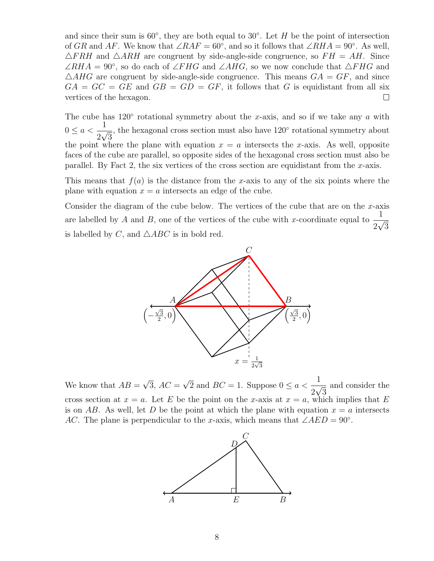and since their sum is  $60^{\circ}$ , they are both equal to  $30^{\circ}$ . Let H be the point of intersection of GR and AF. We know that  $\angle RAF = 60^{\circ}$ , and so it follows that  $\angle RHA = 90^{\circ}$ . As well,  $\triangle FRH$  and  $\triangle ARH$  are congruent by side-angle-side congruence, so  $FH = AH$ . Since  $\angle RHA = 90^\circ$ , so do each of  $\angle FHG$  and  $\angle AHG$ , so we now conclude that  $\triangle FHG$  and  $\triangle AHG$  are congruent by side-angle-side congruence. This means  $GA = GF$ , and since  $GA = GC = GE$  and  $GB = GD = GF$ , it follows that G is equidistant from all six vertices of the hexagon.  $\Box$ 

The cube has  $120°$  rotational symmetry about the x-axis, and so if we take any a with  $0 \le a < \frac{1}{2}$ 2  $\frac{1}{1}$ 3 , the hexagonal cross section must also have 120◦ rotational symmetry about the point where the plane with equation  $x = a$  intersects the x-axis. As well, opposite faces of the cube are parallel, so opposite sides of the hexagonal cross section must also be parallel. By Fact 2, the six vertices of the cross section are equidistant from the x-axis.

This means that  $f(a)$  is the distance from the x-axis to any of the six points where the plane with equation  $x = a$  intersects an edge of the cube.

Consider the diagram of the cube below. The vertices of the cube that are on the  $x$ -axis are labelled by A and B, one of the vertices of the cube with x-coordinate equal to  $\frac{1}{2}$ 2  $\frac{1}{\sqrt{2}}$ 3 is labelled by C, and  $\triangle ABC$  is in bold red.



We know that  $AB =$ √  $3, AC =$ √  $\overline{2}$  and  $BC = 1$ . Suppose  $0 \le a < \frac{1}{2}$ 2  $\frac{1}{\sqrt{2}}$ 3 and consider the cross section at  $x = a$ . Let E be the point on the x-axis at  $x = a$ , which implies that E is on AB. As well, let D be the point at which the plane with equation  $x = a$  intersects AC. The plane is perpendicular to the x-axis, which means that  $\angle AED = 90^\circ$ .

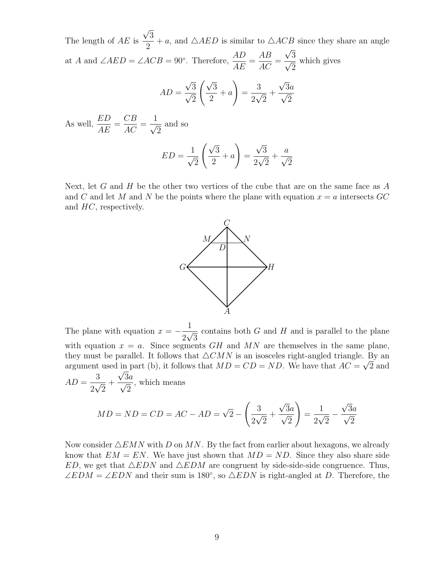The length of  $AE$  is √ 3 2 + a, and  $\triangle AED$  is similar to  $\triangle ACB$  since they share an angle at A and  $\angle AED = \angle ACB = 90^\circ$ . Therefore,  $\frac{AD}{AD}$  $\frac{AB}{AE} =$ AB  $\frac{1}{AC} =$ √  $\frac{\sqrt{3}}{\sqrt{2}}$ 2 which gives √ √

$$
AD = \frac{\sqrt{3}}{\sqrt{2}} \left( \frac{\sqrt{3}}{2} + a \right) = \frac{3}{2\sqrt{2}} + \frac{\sqrt{3}a}{\sqrt{2}}
$$

As well,  $\frac{ED}{AP}$  $\frac{DE}{AE} =$  $CB$  $\frac{\partial B}{\partial C} =$  $\frac{1}{\sqrt{2}}$ 2 and so  $ED =$  $\frac{1}{\sqrt{2}}$ 2  $\sqrt{3}$ 2  $+ a$  $\setminus$ = √ 3 2  $\frac{V}{\sqrt{2}}$ 2  $+$  $\frac{a}{\sqrt{a}}$ 2

Next, let G and H be the other two vertices of the cube that are on the same face as  $A$ and C and let M and N be the points where the plane with equation  $x = a$  intersects GC and HC, respectively.



The plane with equation  $x = -\frac{1}{2}$ 2  $\frac{1}{\sqrt{2}}$ 3 contains both  $G$  and  $H$  and is parallel to the plane with equation  $x = a$ . Since segments GH and MN are themselves in the same plane, they must be parallel. It follows that  $\triangle CMN$  is an isosceles right-angled triangle. By an argument used in part (b), it follows that  $MD = CD = ND$ . We have that  $AC = \sqrt{2}$  and  $AD =$ 3 2 √ 2  $+$  $\frac{\sqrt{3a}}{2}$ 2 , which means

$$
MD = ND = CD = AC - AD = \sqrt{2} - \left(\frac{3}{2\sqrt{2}} + \frac{\sqrt{3}a}{\sqrt{2}}\right) = \frac{1}{2\sqrt{2}} - \frac{\sqrt{3}a}{\sqrt{2}}
$$

Now consider  $\triangle EMN$  with D on MN. By the fact from earlier about hexagons, we already know that  $EM = EN$ . We have just shown that  $MD = ND$ . Since they also share side ED, we get that  $\triangle EDN$  and  $\triangle EDM$  are congruent by side-side-side congruence. Thus,  $\angle EDM = \angle EDN$  and their sum is 180°, so  $\triangle EDN$  is right-angled at D. Therefore, the